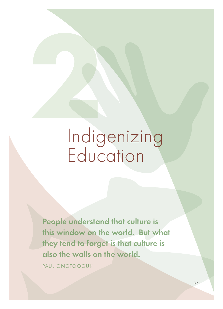# Indigenizing Education

**People understand that culture is this window on the world. But what they tend to forget is that culture is also the walls on the world.**

PAUL ONGTOOGUK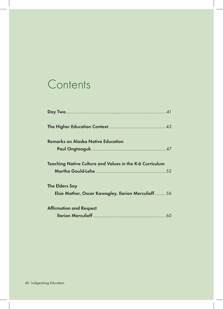## **Contents**

| Remarks on Alaska Native Education                                           |
|------------------------------------------------------------------------------|
|                                                                              |
| <b>Teaching Native Culture and Values in the K-6 Curriculum</b>              |
| <b>The Elders Say</b><br>Elsie Mather, Oscar Kawagley, Ilarion Merculieff 56 |
| <b>Affirmation and Respect</b>                                               |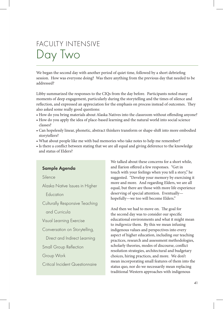## FACULTY INTENSIVE Day Two

We began the second day with another period of quiet time, followed by a short debriefing session. How was everyone doing? Was there anything from the previous day that needed to be addressed?

Libby summarized the responses to the CIQs from the day before. Participants noted many moments of deep engagement, particularly during the storytelling and the times of silence and reflection, and expressed an appreciation for the emphasis on process instead of outcomes. They also asked some really good questions:

- How do you bring materials about Alaska Natives into the classroom without offending anyone?
- How do you apply the idea of place-based learning and the natural world into social science classes?
- Can hopelessly linear, phonetic, abstract thinkers transform or shape-shift into more embodied storytellers?
- What about people like me with bad memories who take notes to help me remember?
- Is there a conflict between stating that we are all equal and giving deference to the knowledge and status of Elders?

#### **Sample Agenda**

Silence

Alaska Native Issues in Higher

Education

Culturally Responsive Teaching

and Curricula

Visual Learning Exercise

Conversation on Storytelling,

Direct and Indirect Learning

Small Group Reflection

Group Work

Critical Incident Questionnaire

We talked about these concerns for a short while. and Ilarion offered a few responses. "Get in touch with your feelings when you tell a story," he suggested. "Develop your memory by exercising it more and more. And regarding Elders, we are all equal, but there are those with more life experience deserving of special attention. Eventually hopefully—we too will become Elders."

And then we had to move on. The goal for the second day was to consider our specific educational environments and what it might mean to *indigenize* them. By this we mean infusing indigenous values and perspectives into every aspect of higher education, including our teaching practices, research and assessment methodologies, scholarly theories, modes of discourse, conflict resolution strategies, architectural and budgetary choices, hiring practices, and more. We don't mean incorporating small features of them into the status quo, nor do we necessarily mean replacing traditional Western approaches with indigenous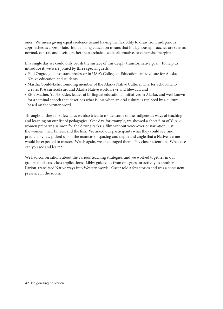ones. We mean giving equal credence to and having the flexibility to draw from indigenous approaches as appropriate. Indigenizing education means that indigenous approaches are seen as normal, central, and useful, rather than archaic, exotic, alternative, or otherwise marginal.

In a single day we could only brush the surface of this deeply transformative goal. To help us introduce it, we were joined by three special guests:

- Paul Ongtooguk, assistant professor in UAA's College of Education, an advocate for Alaska Native education and students;
- Martha Gould-Lehe, founding member of the Alaska Native Cultural Charter School, who creates K-6 curricula around Alaska Native worldviews and lifeways; and
- Elsie Mather, Yup'ik Elder, leader of bi-lingual educational initiatives in Alaska, and well known for a seminal speech that describes what is lost when an oral culture is replaced by a culture based on the written word.

Throughout these first few days we also tried to model some of the indigenous ways of teaching and learning on our list of pedagogies. One day, for example, we showed a short film of Yup'ik women preparing salmon for the drying racks: a film without voice-over or narration, just the women, their knives, and the fish. We asked our participants what they could see, and predictably few picked up on the nuances of spacing and depth and angle that a Native learner would be expected to master. Watch again, we encouraged them. Pay closer attention. What else can you see and learn?

We had conversations about the various teaching strategies, and we worked together in our groups to discuss class applications. Libby guided us from one guest or activity to another. Ilarion translated Native ways into Western words. Oscar told a few stories and was a consistent presence in the room.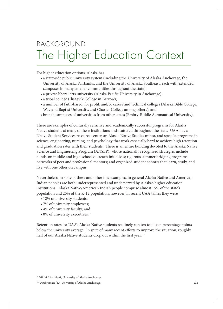## BACKGROUND The Higher Education Context

For higher education options, Alaska has

- a statewide public university system (including the University of Alaska Anchorage, the University of Alaska Fairbanks, and the University of Alaska Southeast, each with extended campuses in many smaller communities throughout the state);
- a private liberal arts university (Alaska Pacific University in Anchorage);
- a tribal college (Ilisagvik College in Barrow);
- a number of faith-based, for profit, and/or career and technical colleges (Alaska Bible College, Wayland Baptist University, and Charter College among others); and
- branch campuses of universities from other states (Embry-Riddle Aeronautical University).

There are examples of culturally sensitive and academically successful programs for Alaska Native students at many of these institutions and scattered throughout the state. UAA has a Native Student Services resource center, an Alaska Native Studies minor, and specific programs in science, engineering, nursing, and psychology that work especially hard to achieve high retention and graduation rates with their students. There is an entire building devoted to the Alaska Native Science and Engineering Program (ANSEP), whose nationally recognized strategies include hands-on middle and high school outreach initiatives; rigorous summer bridging programs; networks of peer and professional mentors; and organized student cohorts that learn, study, and live with one other on campus.

Nevertheless, in spite of these and other fine examples, in general Alaska Native and American Indian peoples are both underrepresented and underserved by Alaska's higher education institutions. Alaska Native/American Indian people comprise almost 15% of the state's population and 25% of the K-12 population; however, in recent UAA tallies they were

- 12% of university students;
- 7% of university employees;
- 4% of university faculty; and
- 0% of university executives. \*

Retention rates for UAA's Alaska Native students routinely run ten to fifteen percentage points below the university average. In spite of many recent efforts to improve the situation, roughly half of our Alaska Native students drop out within the first year. \*\*

<sup>\*</sup> *2011-12 Fact Book*, University of Alaska Anchorage.

<sup>\*\*</sup> *Performance '12*. University of Alaska Anchorage.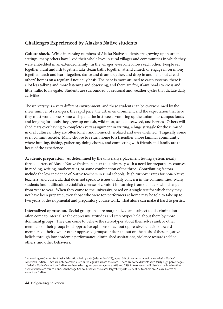### **Challenges Experienced by Alaska's Native students**

**Culture shock.** While increasing numbers of Alaska Native students are growing up in urban settings, many others have lived their whole lives in rural villages and communities in which they were embedded in an extended family. In the villages, everyone knows each other. People eat together, hunt and fish together, take steam baths together, attend church or engage in ceremony together, teach and learn together, dance and drum together, and drop in and hang out at each others' homes on a regular if not daily basis. The pace is more attuned to earth systems, there is a lot less talking and more listening and observing, and there are few, if any, roads to cross and little traffic to navigate. Students are surrounded by seasonal and weather cycles that dictate daily activities.

The university is a very different environment, and these students can be overwhelmed by the sheer number of strangers, the rapid pace, the urban environment, and the expectation that here they must work alone. Some will spend the first weeks vomiting up the unfamiliar campus foods and longing for foods they grew up on: fish, wild meat, seal oil, seaweed, and berries. Others will shed tears over having to complete every assignment in writing, a huge struggle for those raised in oral cultures. They are often lonely and homesick, isolated and overwhelmed. Tragically, some even commit suicide. Many choose to return home to a friendlier, more familiar community, where hunting, fishing, gathering, doing chores, and connecting with friends and family are the heart of the experience.

**Academic preparation.** As determined by the university's placement testing system, nearly three quarters of Alaska Native freshmen enter the university with a need for preparatory courses in reading, writing, mathematics, or some combination of the three. Contributing factors include the low incidence of Native teachers in rural schools,\* high turnover rates for non-Native teachers, and curricula that does not speak to issues of daily concern in the communities. Many students find it difficult to establish a sense of comfort in learning from outsiders who change from year to year. When they come to the university, based on a single test for which they may not have been prepared, even those who were top performers at home may be told to take up to two years of developmental and preparatory course work. That alone can make it hard to persist.

**Internalized oppression.** Social groups that are marginalized and subject to discrimination often come to internalize the oppressive attitudes and stereotypes held about them by more dominant groups. They can come to believe the stereotypes about themselves and/or other members of their group; hold oppressive opinions or act out oppressive behaviors toward members of their own or other oppressed groups; and/or act out on the basis of these negative beliefs through low academic performance, diminished aspirations, violence towards self or others, and other behaviors.

<sup>\*</sup> According to Center for Alaska Education Policy data (Alexandra Hill), about 5% of teachers statewide are Alaska Native/ American Indian. They are not, however, distributed equally across the state. There are some districts with fairly high percentages of Alaska Native/American Indian teachers (the highest percentages are 46% and 75% in two very small districts), while in other districts there are few to none. Anchorage School District, the state's largest, reports 2.7% of its teachers are Alaska Native or American Indian.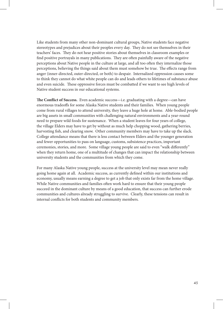Like students from many other non-dominant cultural groups, Native students face negative stereotypes and prejudices about their peoples every day. They do not see themselves in their teachers' faces. They do not hear positive stories about themselves in classroom examples or find positive portrayals in many publications. They are often painfully aware of the negative perceptions about Native people in the culture at large, and all too often they internalize those perceptions, believing the things said about them must somehow be true. The effects range from anger (inner-directed, outer-directed, or both) to despair. Internalized oppression causes some to think they cannot do what white people can do and leads others to lifetimes of substance abuse and even suicide. These oppressive forces must be combatted if we want to see high levels of Native student success in our educational systems.

**The Conflict of Success.** Even academic success—i.e. graduating with a degree—can have enormous tradeoffs for some Alaska Native students and their families. When young people come from rural villages to attend university, they leave a huge hole at home. Able-bodied people are big assets in small communities with challenging natural environments and a year-round need to prepare wild foods for sustenance. When a student leaves for four years of college, the village Elders may have to get by without as much help chopping wood, gathering berries, harvesting fish, and clearing snow. Other community members may have to take up the slack. College attendance means that there is less contact between Elders and the younger generation and fewer opportunities to pass on language, customs, subsistence practices, important ceremonies, stories, and more. Some village young people are said to even "walk differently" when they return home, one of a multitude of changes that can impact the relationship between university students and the communities from which they come.

For many Alaska Native young people, success at the university level may mean never really going home again at all. Academic success, as currently defined within our institutions and economy, usually means earning a degree to get a job that only exists far from the home village. While Native communities and families often work hard to ensure that their young people succeed in the dominant culture by means of a good education, that success can further erode communities and cultures already struggling to survive. Clearly, these tensions can result in internal conflicts for both students and community members.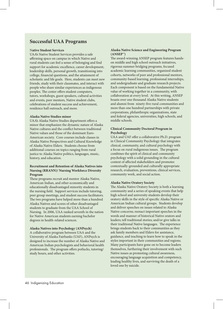#### **Successful UAA Programs**

#### N**ative Student Services**

UAA's Native Student Services provides a safe affirming space on campus in which Native and rural students can feel a sense of belonging and find support for academic excellence, career development, leadership skills, personal growth, transitioning into college, financial questions, and the attainment of scholastic and life goals. Here, students can meet new friends, study with their classmates, and interact with people who share similar experiences as indigenous peoples. The center offers student computers, tutors, workshops, guest speakers, cultural activities and events, peer mentors, Native student clubs, celebrations of student success and achievement, residence hall outreach, and more.

#### **Alaska Native Studies minor**

UAA's Alaska Native Studies department offers a minor that emphasizes the dynamic nature of Alaska Native cultures and the conflict between traditional Native values and those of the dominant Euro-American society. Core courses include classes in Alaska Native Perspectives and Cultural Knowledge of Alaska Native Elders. Students choose from additional courses on topics ranging from rural justice to Alaska Native politics, languages, music, history, and education.

#### **Recruitment and Retention of Alaska Natives into Nursing (RRANN)/ Nursing Workforce Diversity Program**

These programs recruit and mentor Alaska Native, American Indian, and other economically and educationally disadvantaged minority students in the nursing field. Support services include tutoring, peer group meetings, and student success facilitators. The two programs have helped more than a hundred Alaska Natives and scores of other disadvantaged students to graduate from the UAA School of Nursing. In 2006, UAA ranked seventh in the nation for Native American students earning bachelor degrees in health-related sciences.

#### **Alaska Natives into Psychology (ANPsych)**

A collaborative program between UAA and the University of Alaska Fairbanks (UAF), ANPsych is designed to increase the number of Alaska Native and American Indian psychologists and behavioral health professionals. The program offers potlucks, tutoring/ study hours, and other activities.

#### **Alaska Native Science and Engineering Program (ANSEP™)**

The award-winning ANSEP program features handson middle and high school outreach initiatives, rigorous summer bridging programs, focused academic learning communities, organized student cohorts, networks of peer and professional mentors, community-based learning, professional internships, and undergraduate and graduate research projects. Each component is based on the fundamental Native value of working together in a community, with collaboration at every level. At this writing, ANSEP boasts over one thousand Alaska Native students and alumni from ninety-five rural communities and more than one hundred partnerships with private corporations, philanthropic organizations, state and federal agencies, universities, high schools, and middle schools.

#### **Clinical Community Doctoral Program in Psychology**

UAA and UAF offer a collaborative Ph.D. program in Clinical Community Psychology that integrates clinical, community, and cultural psychology with a focus on rural indigenous issues. The program combines the spirit of clinical and community psychology with a solid grounding in the cultural context of affected stakeholders and promotes contextually-grounded and culturally appropriate research, evaluation, preventions, clinical services, community work, and social action.

#### **Alaska Native Oratory Society**

The Alaska Native Oratory Society is both a learning community and a series of speaking events that help high school and university students develop their oratory skills in the style of specific Alaska Native or American Indian cultural groups. Students develop and deliver speeches on issues related to Alaska Native concerns; reenact important speeches in the words and manner of historical Native orators and leaders; tell traditional stories; and/or give talks in their traditional Native languages. The experience brings students back to their communities as they ask family members and Elders for assistance, guidance, and teaching to learn how to speak in the styles important in their communities and regions. Many participants have gone on to become leaders themselves, furthering their involvement with such Native issues as promoting cultural awareness, encouraging language acquisition and competency, leading healthy lives, and surviving the death of a loved one by suicide.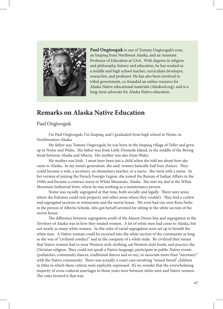

Paul **Ongtooguk** is one of Tommy Ongtooguk's sons, an Inupiaq from Northwest Alaska, and an Assistant Professor of Education at UAA. With degrees in religion and philosophy, history and education, he has worked as a middle and high school teacher, curriculum developer, researcher, and professor. He has also been involved in tribal government, co-founded an online resource for Alaska Native educational materials (Alaskool.org), and is a long-term advocate for Alaska Native education.

## **Remarks on Alaska Native Education**

Paul Ongtooguk

I'm Paul Ongtooguk, I'm Inupiaq, and I graduated from high school in Nome, in Northwestern Alaska.

My father was Tommy Ongtooguk; he was born in the Inupiaq village of Teller and grew up in Nome and Wales. His father was from Little Diomede Island, in the middle of the Bering Strait between Alaska and Siberia. His mother was also from Wales.

My mother was Irish. I must have been just a child when she told me about how she came to Alaska. In my mom's generation, she said, women basically had four choices. They could become a wife, a secretary, an elementary teacher, or a nurse. She went with a nurse. In her version of joining the French Foreign Legion, she joined the Bureau of Indian Affairs in the 1940s and became a contract nurse in White Mountain, Alaska. She met my dad at the White Mountain Industrial Store, where he was working as a maintenance person.

Nome was racially segregated at that time, both socially and legally. There were areas where the Eskimos could rent property and other areas where they couldn't. They had a curfew and segregated sections in restaurants and the movie house. We even had our own Rosa Parks in the person of Alberta Schenk, who got herself arrested for sitting in the white section of the movie house.

The difference between segregation south of the Mason-Dixon line and segregation in the Territory of Alaska was in how they treated women. A lot of white men had come to Alaska, but not nearly as many white women. So the rules of racial segregation were set up to benefit the white men. A Native woman could be escorted into the white section of the community as long as she was of "civilized conduct" and in the company of a white male. By civilized they meant that Native women had to wear Western style clothing, eat Western style foods, and practice the Christian religion. They could not speak a Native language, participate in public Native events (potlatches, community dances, traditional dances and so on), or associate more than "necessary" with the Native community. There was actually a court case involving "mixed-breed" children in Sitka in which these criteria were explicitly expressed. It's no wonder that the overwhelming majority of cross-cultural marriages in those years were between white men and Native women. The rules favored it that way.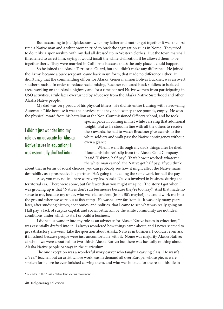But, according to Joe Upicksoun\*, when my father and mother got together it was the first time a Native man and a white woman tried to buck the segregation rules in Nome. They tried to do it like a sponsorship, with my dad all dressed up in Western clothes. But the town marshall threatened to arrest him, saying it would insult the white civilization if he allowed them to be together there. They were married in California because that's the only place it could happen.

So he joined the Alaska Territorial Guard, but that didn't make any difference. He joined the Army, became a buck sergeant, came back in uniform; that made no difference either. It didn't help that the commanding officer for Alaska, General Simon Bolivar Buckner, was an overt southern racist. In order to reduce racial mixing, Buckner relocated black soldiers to isolated areas working on the Alaska highway and for a time banned Native women from participating in USO activities, a rule later overturned by advocacy from the Alaska Native Sisterhood and other Alaska Native people.

My dad was very proud of his physical fitness. He did his entire training with a Browning Automatic Rifle because it was the heaviest rifle they had: twenty-three pounds, empty. He won the physical award from his battalion at the Non-Commissioned Officers school, and he took

I didn't just wander into my role as an advocate for Alaska Native issues in education; I was essentially drafted into it. special pride in coming in first while carrying that additional weight. But as he stood in line with all the others to receive their awards, he had to watch Bruckner give awards to the white soldiers and walk past the Native contingency without even a glance.

 When I went through my dad's things after he died, I found his laborer's slip from the Alaska Gold Company. It said "Eskimo, half pay." That's how it worked: whatever the white man earned, the Native got half pay. If you think

about that in terms of social choices, you can probably see how it might affect the Native man's desirability as a prospective life partner. He's going to be doing the same work for half the pay.

Also, you may notice there were very few Alaska Natives involved in business during the territorial era. There were some, but far fewer than you might imagine. The story I got when I was growing up is that "Natives don't run businesses because they're too lazy." And that made no sense to me, because my uncle, who was old, ancient (in his 50's maybe!), he could work me into the ground when we were out at fish camp. He wasn't lazy: far from it. It was only many years later, after studying history, economics, and politics, that I came to see what was really going on. Half pay, a lack of surplus capital, and social ostracism by the white community are not ideal conditions under which to start or build a business.

I didn't just wander into my role as an advocate for Alaska Native issues in education; I was essentially drafted into it. I always wondered how things came about, and I never seemed to get satisfactory answers. Like the question about Alaska Natives in business, I couldn't even ask it in school because people were just uncomfortable with it. Nome was majority Alaska Native; at school we were about half to two-thirds Alaska Native; but there was basically nothing about Alaska Native people or ways in the curriculum.

The one exception was a wonderful ivory carver who taught a carving class. He wasn't a "real" teacher, but an artist whose work was in demand all over Europe, whose pieces were spoken for before he ever finished carving them, and who was booked for the rest of his life in

<sup>\*</sup> A leader in the Alaska Native land claims movement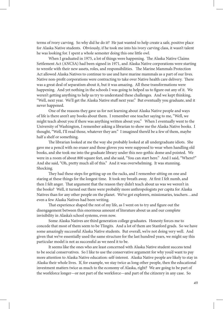terms of ivory carving. So why did he do it? He just wanted to help create a safe, positive place for Alaska Native students. Obviously, if he took me into his ivory carving class, it wasn't talent he was looking for. I spent a whole semester doing this one little owl.

When I graduated in 1975, a lot of things were happening. The Alaska Native Claims Settlement Act (ANCSA) had been signed in 1971, and Alaska Native corporations were starting to wrestle with their new assets, roles, and responsibilities. The Marine Mammals Protection Act allowed Alaska Natives to continue to use and have marine mammals as a part of our lives. Native non-profit corporations were contracting to take over Native health care delivery. There was a great deal of separatism about it, but it was amazing. All these transformations were happening. And yet nothing in the schools I was going to helped us to figure out any of it. We weren't getting anything to help us try to understand these challenges. And we kept thinking, "Well, next year. We'll get the Alaska Native stuff next year." But eventually you graduate, and it never happened.

One of the reasons they gave us for not learning about Alaska Native people and ways of life is there aren't any books about them. I remember one teacher saying to me, "Well, we might teach about you if there was anything written about you." When I eventually went to the University of Washington, I remember asking a librarian to show me the Alaska Native books. I thought, "Well, I'll read those, whatever they are." I imagined there'd be a few of them, maybe half a shelf or something.

The librarian looked at me the way she probably looked at all undergraduate idiots. She gave me a pencil with no eraser and those gloves you were supposed to wear when handling old books, and she took me into the graduate library under this neo-gothic dome and pointed. We were in a room of about 800 square feet, and she said, "You can start here." And I said, "Where?" And she said, "Oh, pretty much all of this." And it was overwhelming. It was stunning. Shocking.

They had these steps for getting up on the racks, and I remember sitting on one and staring at these things for the longest time. It took my breath away. At first I felt numb, and then I felt anger. That argument that the reason they didn't teach about us was we weren't in the books? Well, it turned out there were probably more anthropologists per capita for Alaska Natives than for any other people on the planet. We've got explorers, missionaries, teachers…and even a few Alaska Natives had been writing.

That experience shaped the rest of my life, as I went on to try and figure out the disengagement between this enormous amount of literature about us and our complete invisibility in Alaska's school systems, even now.

Some Alaska Natives are third generation college graduates. Honesty forces me to concede that most of them seem to be Tlingits. And a lot of them are Stanford grads. So we have some amazingly successful Alaska Native students. But overall, we're not doing very well. And given that we've essentially used the same structure for the last hundred years, we might say this particular model is not as successful as we need it to be.

It seems like the ones who are least concerned with Alaska Native student success tend to be social conservatives. So I like to use the conservative argument for why you'd want to pay more attention to Alaska Native education: self-interest. Alaska Native people are likely to stay in Alaska their whole lives. If, for example, we stay twice as long other people, then the educational investment matters twice as much to the economy of Alaska, right? We are going to be part of the workforce longer—or not part of the workforce—and part of the citizenry in any case. So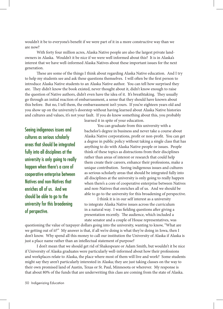wouldn't it be to everyone's benefit if we were part of it in a more constructive way than we are now?

With forty four million acres, Alaska Native people are also the largest private landowners in Alaska. Wouldn't it be nice if we were well informed about this? It is in Alaska's interest that we have well-informed Alaska Natives about these important issues for the next generation.

These are some of the things I think about regarding Alaska Native education. And I try to help my students see and ask these questions themselves. I will often be the first person to introduce Alaska Native students to an Alaska Native author. You can tell how surprised they are. They didn't know the book existed, never thought about it, didn't know enough to raise the question of Native authors, didn't even have the idea of it. It's breathtaking. They usually go through an initial reaction of embarrassment, a sense that they should have known about this before. But no, I tell them, the embarrassment isn't yours. If you're eighteen years old and you show up on the university's doorstep without having learned about Alaska Native histories and cultures and values, it's not your fault. If you do know something about this, you probably

Seeing indigenous issues and cultures as serious scholarly areas that should be integrated fully into all disciplines at the university is only going to really happen when there's a core of cooperative enterprise between Natives and non-Natives that enriches all of us. And we should be able to go to the university for this broadening of perspective.

learned it in spite of your education.

 You can graduate from this university with a bachelor's degree in business and never take a course about Alaska Native corporations, profit or non-profit. You can get a degree in public policy without taking a single class that has anything to do with Alaska Native people or issues. People think of these topics as distractions from their disciplines rather than areas of interest or research that could help them create their careers, enhance their professions, make a unique contribution. Seeing indigenous issues and cultures as serious scholarly areas that should be integrated fully into all disciplines at the university is only going to really happen when there's a core of cooperative enterprise between Natives and non-Natives that enriches all of us. And we should be able to go to the university for this broadening of perspective.

 I think it is in our self interest as a university to integrate Alaska Native issues across the curriculum in a natural way. I was fielding questions after giving a presentation recently. The audience, which included a state senator and a couple of House representatives, was

questioning the value of taxpayer dollars going into the university, wanting to know, "What are we getting out of it?" My answer is that, if all we're doing is what they're doing in Iowa, then I don't know. Why spend all this money to call our institution the University of Alaska if Alaska is just a place name rather than an intellectual statement of purpose?

I don't mean that we should get rid of Shakespeare or Adam Smith, but wouldn't it be nice if University of Alaska graduates were particularly well-informed about how their professions and workplaces relate to Alaska, the place where most of them will live and work? Some students might say they aren't particularly interested in Alaska; they are just taking classes on the way to their own promised land of Austin, Texas or St. Paul, Minnesota or wherever. My response is that about 80% of the funds that are underwriting this class are coming from the state of Alaska.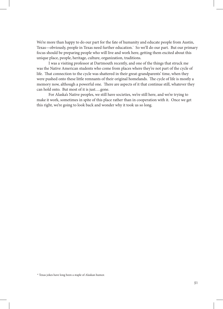We're more than happy to do our part for the fate of humanity and educate people from Austin, Texas—obviously, people in Texas need further education.\* So we'll do our part. But our primary focus should be preparing people who will live and work here, getting them excited about this unique place, people, heritage, culture, organization, traditions.

I was a visiting professor at Dartmouth recently, and one of the things that struck me was the Native American students who come from places where they're not part of the cycle of life. That connection to the cycle was shattered in their great-grandparents' time, when they were pushed onto these little remnants of their original homelands. The cycle of life is mostly a memory now, although a powerful one. There are aspects of it that continue still, whatever they can hold onto. But most of it is just….gone.

For Alaska's Native peoples, we still have societies, we're still here, and we're trying to make it work, sometimes in spite of this place rather than in cooperation with it. Once we get this right, we're going to look back and wonder why it took us so long.

\* Texas jokes have long been a staple of Alaskan humor.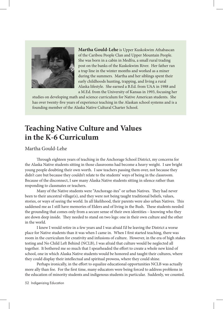

**Martha Gould-Lehe** is Upper Kuskokwim Athabascan of the Caribou People Clan and Upper Mountain People. She was born in a cabin in Medfra, a small rural trading post on the banks of the Kuskokwim River. Her father ran a trap line in the winter months and worked as a miner during the summers. Martha and her siblings spent their early childhoods hunting, trapping, and living a rural Alaska lifestyle. She earned a B.Ed. from UAA in 1988 and a M.Ed. from the University of Kansas in 1993, focusing her

studies on developing math and science curriculum for Native American students. She has over twenty-five years of experience teaching in the Alaskan school systems and is a founding member of the Alaska Native Cultural Charter School.

## **Teaching Native Culture and Values in the K-6 Curriculum**

#### Martha Gould-Lehe

 Through eighteen years of teaching in the Anchorage School District, my concerns for the Alaska Native students sitting in those classrooms had become a heavy weight. I saw bright young people doubting their own worth. I saw teachers passing them over, not because they didn't care but because they couldn't relate to the students' ways of being in the classroom. Because of the disconnect, I saw many Alaska Native students sitting in silence rather than responding to classmates or teachers.

 Many of the Native students were "Anchorage-ites" or urban Natives. They had never been to their ancestral village(s), and they were not being taught traditional beliefs, values, stories, or ways of seeing the world. In all likelihood, their parents were also urban Natives. This saddened me as I still have memories of Elders and of living in the Bush. These students needed the grounding that comes only from a secure sense of their own identities – knowing who they are down deep inside. They needed to stand on two legs: one in their own culture and the other in the world.

 I knew I would retire in a few years and I was afraid I'd be leaving the District a worse place for Native students than it was when I came in. When I first started teaching, there was room in the curriculum for creativity and infusions of culture. However, in the era of high stakes testing and No Child Left Behind (NCLB), I was afraid that culture would be neglected all together. It bothered me so much that I spearheaded the effort to create a whole new kind of school, one in which Alaska Native students would be honored and taught their cultures, where they could display their intellectual and spiritual prowess, where they could shine.

 Perhaps ironically, in the effort to equalize educational opportunities NCLB was actually more ally than foe. For the first time, many educators were being forced to address problems in the education of minority students and indigenous students in particular. Suddenly, we counted.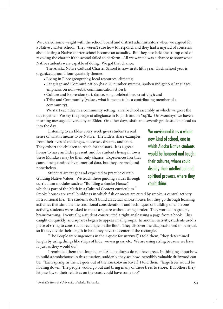We carried some weight with the school board and district administrators when we argued for a Native charter school. They weren't sure how to respond, and they had a myriad of concerns about letting a Native charter school become an actuality. But they also held the trump card of revoking the charter if the school failed to perform. All we wanted was a chance to show what Native students were capable of doing. We got that chance.

The Alaska Native Cultural Charter School is now in its fifth year. Each school year is organized around four quarterly themes:

- Living in Place (geography, local resources, climate);
- Language and Communication (base 20 number systems, spoken indigenous languages, emphasis on non-verbal communication styles);
- Culture and Expression (art, dance, song, celebrations, creativity); and
- Tribe and Community (values, what it means to be a contributing member of a community).

 We start each day in a community setting: an all-school assembly in which we greet the day together. We say the pledge of allegiance in English and in Yup'ik. On Mondays, we have a morning message delivered by an Elder. On other days, sixth and seventh grade students lead us into the day.

 Listening to an Elder every week gives students a real sense of what it means to be Native. The Elders share examples from their lives of challenges, successes, dreams, and faith. They exhort the children to reach for the stars. It is a great honor to have an Elder present, and for students living in town these Mondays may be their only chance. Experiences like that cannot be quantified by numerical data, but they are profound nonetheless.

 Students are taught and expected to practice certain Guiding Native Values. We teach these guiding values through curriculum modules such as "Building a Smoke House," which is part of the Math in a Cultural Context curriculum.<sup>\*</sup>

We envisioned it as a whole new kind of school, one in which Alaska Native students would be honored and taught their cultures, where could display their intellectual and spiritual prowess, where they could shine.

Smoke houses are small buildings in which fish or meats are cured by smoke, a central activity in traditional life. The students don't build an actual smoke house, but they go through learning activities that simulate the traditional considerations and techniques of building one. In one activity, students were asked to make a square without using a ruler. They worked in groups, brainstorming. Eventually, a student constructed a right angle using a page from a book. This caught on quickly, and squares began to appear in all groups. In another activity, students used a piece of string to construct a rectangle on the floor. They discover the diagonals need to be equal, so if they divide their length in half, they have the center of the rectangle.

 "The People were ingenious in their quest for survival," I told them; "they determined length by using things like strips of hide, woven grass, etc. We are using string because we have it, just as they would do."

 I reminded them that Inupiaq and Aleut cultures do not have trees. In thinking about how to build a smokehouse in this situation, suddenly they see how incredibly valuable driftwood can be. "Each spring, as the ice goes out of the Kuskokwim River," I told them, "large trees would be floating down. The people would go out and bring many of these trees to shore. But others they let pass by, so their relatives on the coast could have some too."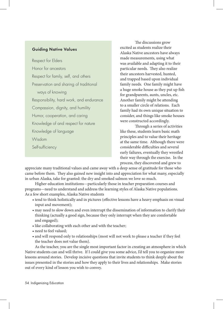#### **Guiding Native Values**

Respect for Elders Honor for ancestors Respect for family, self, and others Preservation and sharing of traditional ways of knowing Responsibility, hard work, and endurance Compassion, dignity, and humility Humor, cooperation, and caring Knowledge of and respect for nature Knowledge of language Wisdom Self-sufficiency

The discussions grow excited as students realize their Alaska Native ancestors have always made measurements, using what was available and adapting it to their particular needs. They also realize their ancestors harvested, hunted, and trapped based upon individual family needs. One family might have a huge smoke house as they put up fish for grandparents, aunts, uncles, etc. Another family might be attending to a smaller circle of relations. Each family had its own unique situation to consider, and things like smoke houses were constructed accordingly.

Through a series of activities like these, students learn basic math principles and to value their heritage at the same time. Although there were considerable difficulties and several early failures, eventually they wrestled their way through the exercise. In the process, they discovered and grew to

appreciate many traditional values and came away with a deep sense of gratitude for those who came before them. They also gained new insight into and appreciation for what many, especially in urban Alaska, take for granted: the dry and smoked salmon we love so much.

 Higher education institutions—particularly those in teacher preparation courses and programs—need to understand and address the learning styles of Alaska Native populations. As a few short examples, Alaska Native students

- tend to think holistically and in pictures (effective lessons have a heavy emphasis on visual input and movement);
- may need to slow down and even interrupt the dissemination of information to clarify their thinking (actually a good sign, because they only interrupt when they are comfortable and engaged);
- like collaborating with each other and with the teacher;
- need to feel valued;
- and will respond only to relationships (most will not work to please a teacher if they feel the teacher does not value them).

 As the teacher, you are the single most important factor in creating an atmosphere in which Native students can and will thrive. If I could give you some advice, I'd tell you to organize more lessons around stories. Develop incisive questions that invite students to think deeply about the issues presented in the stories and how they apply to their lives and relationships. Make stories out of every kind of lesson you wish to convey.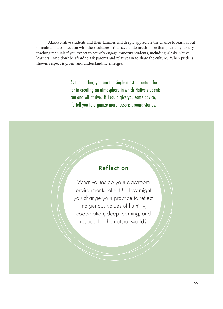Alaska Native students and their families will deeply appreciate the chance to learn about or maintain a connection with their cultures. You have to do much more than pick up your dry teaching manuals if you expect to actively engage minority students, including Alaska Native learners. And don't be afraid to ask parents and relatives in to share the culture. When pride is shown, respect is given, and understanding emerges.

> As the teacher, you are the single most important factor in creating an atmosphere in which Native students can and will thrive. If I could give you some advice, I'd tell you to organize more lessons around stories.

## **Reflection**

What values do your classroom environments reflect? How might you change your practice to reflect indigenous values of humility, cooperation, deep learning, and respect for the natural world?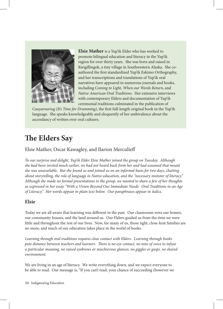

**Elsie Mather** is a Yup'ik Elder who has worked to promote bilingual education and literacy in the Yup'ik region for over thirty years. She was born and raised in Kwigillingok, a tiny village in Southwestern Alaska. She coauthored the first standardized Yup'ik Eskimo Orthography, and her transcriptions and translations of Yup'ik oral narratives have appeared in numerous journals and books, including *Coming to Light, When our Words Return*, and *Native American Oral Traditions*. Her extensive interviews with contemporary Elders and documentation of Yup'ik ceremonial traditions culminated in the publication of

*Cauyarnariug (It's Time for Drumming)*, the first full-length original book in the Yup'ik language. She speaks knowledgeably and eloquently of her ambivalence about the ascendancy of written over oral cultures.

## **The Elders Say**

## Elsie Mather, Oscar Kawagley, and Ilarion Merculieff

*To our surprise and delight, Yup'ik Elder Elsie Mather joined the group on Tuesday. Although she had been invited much earlier, we had not heard back from her and had assumed that meant she was unavailable. But she found us and joined us on an informal basis for two days, chatting about storytelling, the role of language in Native education, and the "necessary monster of literacy." Although she made no formal presentations to the group, we wanted to share a few of her thoughts as expressed in her essay "With a Vision Beyond Our Immediate Needs: Oral Traditions in an Age of Literacy." Her words appear in plain text below. Our paraphrases appear in italics.*

### **Elsie**

Today we are all aware that learning was different in the past. Our classrooms were our homes, our community houses, and the land around us. Our Elders guided us from the time we were little and throughout the rest of our lives. Now, for many of us, those tight, close-knit families are no more, and much of our education takes place in the world of books.

*Learning through oral traditions requires close contact with Elders. Learning through books puts distance between teachers and learners. There is no eye contact, no tone of voice to infuse a particular meaning, no raised eyebrows or mischievous glances, no giggles or gasps, no shared environment.* 

We are living in an age of literacy. We write everything down, and we expect everyone to be able to read. Our message is, "If you can't read, your chance of succeeding (however we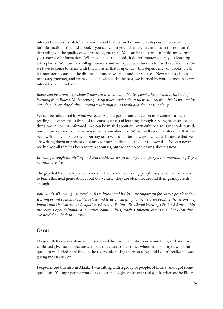interpret success) is zilch." In a way, it's sad that we are becoming so dependent on reading for information. You and a book—you can closet yourself anywhere and learn (or not learn), depending on the quality of your reading material. You can be thousands of miles away from your source of information. When you have that book, it doesn't matter where your learning takes places. We now have village libraries and we expect our students to use these facilities. So we have to come to terms with this monster that is upon us—this dependency on books. I call it a monster because of the distance it puts between us and our sources. Nevertheless, it is a necessary monster, and we have to deal with it. In the past, we learned by word of mouth as we interacted with each other.

*Books can be wrong, especially if they are written about Native peoples by outsiders. Instead of learning from Elders, Native youth pick up inaccuracies about their cultures from books written by outsiders. They absorb this inaccurate information as truth and then pass it along.* 

We can be influenced by what we read. A good part of our education now comes through reading. It scares me to think of the consequences of learning through reading because, for one thing, we can be misinformed. We can be misled about our own culture also. Or people outside our culture can receive the wrong information about us. We are well aware of literature that has been written by outsiders who portray us in very unflattering ways. … Let us be aware that we are writing down our history not only for our children but also for the world…. We can never really erase all that has been written about us, but we can do something about it now.

*Learning through storytelling and oral traditions serves an important purpose in maintaining Yup'ik cultural identity.*

The gap that has developed between our Elders and our young people may be why it is so hard to teach this next generation about our values. They are often not around their grandparents enough.

*Both kinds of learning—through oral traditions and books—are important for Native people today. It is important to hold the Elders close and to listen carefully to their stories because the lessons they impart must be learned and experienced over a lifetime. Relational learning (the kind done within the context of one's human and natural communities) teaches different lessons than book learning. We need them both to survive.*

### **Oscar**

My grandfather was a shaman. I used to ask him some questions now and then, and once in a while he'd give me a direct answer. But there were other times when I almost forgot what the question was! He'd be sitting on the riverbank, sitting there on a log, and I didn't realize he was giving me an answer!

I experienced this also in Akiak. I was sitting with a group of people, of Elders, and I got some questions. Younger people would try to get me to give an answer real quick, whereas the Elders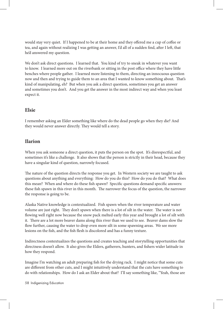would stay very quiet. If I happened to be at their home and they offered me a cup of coffee or tea, and again without realizing I was getting an answer, I'd all of a sudden find, after I left, that he'd answered my question.

We don't ask direct questions. I learned that. You kind of try to sneak in whatever you want to know. I learned more out on the riverbank or sitting in the post office where they have little benches where people gather. I learned more listening to them, directing an innocuous question now and then and trying to guide them to an area that I wanted to know something about. That's kind of manipulating, eh? But when you ask a direct question, sometimes you get an answer and sometimes you don't. And you get the answer in the most indirect way and when you least expect it.

### **Elsie**

I remember asking an Elder something like where do the dead people go when they die? And they would never answer directly. They would tell a story.

### **Ilarion**

When you ask someone a direct question, it puts the person on the spot. It's disrespectful, and sometimes it's like a challenge. It also shows that the person is strictly in their head, because they have a singular kind of question, narrowly focused.

The nature of the question directs the response you get. In Western society we are taught to ask questions about anything and everything: How do you do this? How do you do that? What does this mean? When and where do these fish spawn? Specific questions demand specific answers: these fish spawn in this river in this month. The narrower the focus of the question, the narrower the response is going to be.

Alaska Native knowledge is contextualized. Fish spawn when the river temperature and water volume are just right. They don't spawn when there is a lot of silt in the water. The water is not flowing well right now because the snow pack melted early this year and brought a lot of silt with it. There are a lot more beaver dams along this river than we used to see. Beaver dams slow the flow further, causing the water to drop even more silt in some spawning areas. We see more lesions on the fish, and the fish flesh is discolored and has a funny texture.

Indirectness contextualizes the questions and creates teaching and storytelling opportunities that directness doesn't allow. It also gives the Elders, gatherers, hunters, and fishers wider latitude in how they respond.

Imagine I'm watching an adult preparing fish for the drying rack. I might notice that some cuts are different from other cuts, and I might intuitively understand that the cuts have something to do with relationships. How do I ask an Elder about that? I'll say something like, "Yeah, those are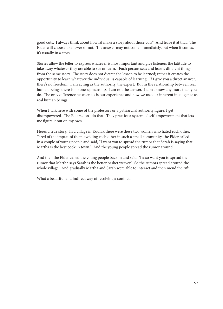good cuts. I always think about how I'd make a story about those cuts" And leave it at that. The Elder will choose to answer or not. The answer may not come immediately, but when it comes, it's usually in a story.

Stories allow the teller to express whatever is most important and give listeners the latitude to take away whatever they are able to see or learn. Each person sees and learns different things from the same story. The story does not dictate the lesson to be learned; rather it creates the opportunity to learn whatever the individual is capable of learning. If I give you a direct answer, there's no freedom. I am acting as the authority, the expert. But in the relationship between real human beings there is no one-upmanship. I am not the answer. I don't know any more than you do. The only difference between us is our experience and how we use our inherent intelligence as real human beings.

When I talk here with some of the professors or a patriarchal authority figure, I get disempowered. The Elders don't do that. They practice a system of self-empowerment that lets me figure it out on my own.

Here's a true story. In a village in Kodiak there were these two women who hated each other. Tired of the impact of them avoiding each other in such a small community, the Elder called in a couple of young people and said, "I want you to spread the rumor that Sarah is saying that Martha is the best cook in town." And the young people spread the rumor around.

And then the Elder called the young people back in and said, "I also want you to spread the rumor that Martha says Sarah is the better basket weaver." So the rumors spread around the whole village. And gradually Martha and Sarah were able to interact and then mend the rift.

What a beautiful and indirect way of resolving a conflict!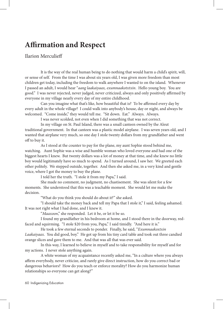## **Affirmation and Respect**

Ilarion Merculieff

It is the way of the real human being to do nothing that would harm a child's spirit, will, or sense of self. From the time I was about six years old, I was given more freedom than most children get today, including the freedom to walk anywhere I wanted to on the island. Whenever I passed an adult, I would hear "*aang laakaiyaax, exumnaakotxtxin*. Hello young boy. You are good." I was never rejected, never judged, never criticized, always and only positively affirmed by everyone in my village nearly every day of my entire childhood.

Can you imagine what that's like, how beautiful that is? To be affirmed every day by every adult in the whole village? I could walk into anybody's house, day or night, and always be welcomed. "Come inside," they would tell me. "Sit down. Eat." Always. Always.

I was never scolded, not even when I did something that was not correct.

In my village on St. Paul Island, there was a small canteen owned by the Aleut traditional government. In that canteen was a plastic model airplane. I was seven years old, and I wanted that airplane very much, so one day I stole twenty dollars from my grandfather and went off to buy it.

As I stood at the counter to pay for the plane, my aunt Sophie stood behind me, watching. Aunt Sophie was a wise and humble woman who loved everyone and had one of the biggest hearts I knew. But twenty dollars was a lot of money at that time, and she knew no little boy would legitimately have so much to spend. As I turned around, I saw her. We greeted each other politely. We stepped outside, together. And then she asked me, in a very kind and gentle voice, where I got the money to buy the plane.

I told her the truth. "I stole it from my Papa," I said.

She made no comment, no judgment, no chastisement. She was silent for a few moments. She understood that this was a teachable moment. She would let me make the decision.

"What do you think you should do about it?" she asked.

"I should take the money back and tell my Papa that I stole it," I said, feeling ashamed. It was not right what I had done, and I knew it.

"*Maaxoon*," she responded. Let it be, or let it be so.

I found my grandfather in his bedroom at home, and I stood there in the doorway, redfaced and squirming. "I stole \$20 from you, Papa," I said timidly. "And here it is."

He took a few eternal seconds to ponder. Finally, he said, "*Exumnaakoxtxin Laakaiyaax*. You did good, boy." He got up from his tiny card table and took out three candied orange slices and gave them to me. And that was all that was ever said.

In this way, I learned to believe in myself and to take responsibility for myself and for my actions. I never stole anything again.

A white woman of my acquaintance recently asked me, "In a culture where you always affirm everybody, never criticize, and rarely give direct instruction, how do you correct bad or dangerous behaviors? How do you teach or enforce morality? How do you harmonize human relationships so everyone can get along?"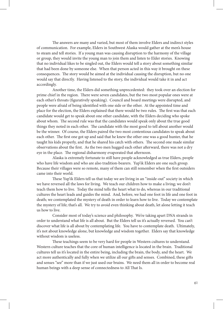The answers are many and varied, but most of them involve Elders and indirect styles of communication. For example, Elders in Southwest Alaska would gather at the men's house to steam and tell stories. If a young man was causing disruption to the harmony of the village or group, they would invite the young man to join them and listen to Elder stories. Knowing that no individual likes to be singled out, the Elders would tell a story about something similar that had been done by someone else. When that person acted in this way it brought on these consequences. The story would be aimed at the individual causing the disruption, but no one would say that directly. Having listened to the story, the individual would take it in and act accordingly.

Another time, the Elders did something unprecedented: they took over an election for prime chief in the region. There were seven candidates, but the two most popular ones were at each other's throats (figuratively speaking). Council and board meetings were disrupted, and people were afraid of being identified with one side or the other. At the appointed time and place for the election, the Elders explained that there would be two rules. The first was that each candidate would get to speak about one other candidate, with the Elders deciding who spoke about whom. The second rule was that the candidates would speak only about the true good things they noted in each other. The candidate with the most good to tell about another would be the winner. Of course, the Elders paired the two most contentious candidates to speak about each other. The first one got up and said that he knew the other one was a good hunter, that he taught his kids properly, and that he shared his catch with others. The second one made similar observations about the first. As the two men hugged each other afterward, there was not a dry eye in the place. The regional disharmony evaporated that afternoon.

Alaska is extremely fortunate to still have people acknowledged as true Elders, people who have life wisdom and who are also tradition-bearers. Yup'ik Elders are one such group. Because their villages were so remote, many of them can still remember when the first outsiders came into their world.

These Yup'ik Elders tell us that today we are living in an "inside-out" society in which we have reversed all the laws for living. We teach our children how to make a living; we don't teach them how to live. Today the mind tells the heart what to do, whereas in our traditional cultures the heart leads and guides the mind. And, before, we had one foot in life and one foot in death; we contemplated the mystery of death in order to learn how to live. Today we contemplate the mystery of life; that's all. We try to avoid even thinking about death, let alone letting it teach us how to live.

Consider most of today's science and philosophy. We're taking apart DNA strands in order to understand what life is all about. But the Elders tell us it's actually reversed. You can't discover what life is all about by contemplating life. You have to contemplate death. Ultimately, it's not about knowledge alone, but knowledge and wisdom together. Elders say that knowledge without wisdom is useless.

These teachings seem to be very hard for people in Western cultures to understand. Western culture teaches that the core of human intelligence is located in the brain. Traditional cultures tell us it's located in the entire being, including the brain, the body, and the heart. We act more authentically and fully when we utilize all our gifts and senses. Combined, these gifts and senses "see" more than if we just used our brains. We need them all in order to become real human beings with a deep sense of connectedness to All That Is.